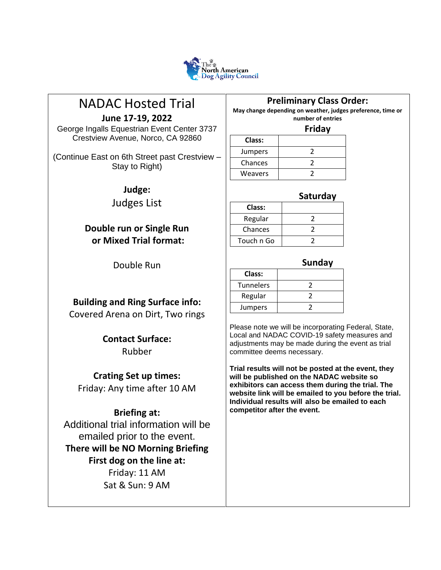

# NADAC Hosted Trial

**June 17-19, 2022**

George Ingalls Equestrian Event Center 3737 Crestview Avenue, Norco, CA 92860

(Continue East on 6th Street past Crestview – Stay to Right)

**Judge:**

Judges List

# **Double run or Single Run or Mixed Trial format:**

Double Run

# **Building and Ring Surface info:**

Covered Arena on Dirt, Two rings

# **Contact Surface:** Rubber

**Crating Set up times:**

Friday: Any time after 10 AM

# **Briefing at:**

Additional trial information will be emailed prior to the event. **There will be NO Morning Briefing First dog on the line at:** Friday: 11 AM Sat & Sun: 9 AM

# **Preliminary Class Order:**

**May change depending on weather, judges preference, time or number of entries**

#### **Friday**

| Class:  |  |
|---------|--|
| Jumpers |  |
| Chances |  |
| Weavers |  |

### **Saturday**

| Class:     |  |
|------------|--|
| Regular    |  |
| Chances    |  |
| Touch n Go |  |

### **Sunday**

| Class:    |  |
|-----------|--|
| Tunnelers |  |
| Regular   |  |
| Jumpers   |  |

Please note we will be incorporating Federal, State, Local and NADAC COVID-19 safety measures and adjustments may be made during the event as trial committee deems necessary.

**Trial results will not be posted at the event, they will be published on the NADAC website so exhibitors can access them during the trial. The website link will be emailed to you before the trial. Individual results will also be emailed to each competitor after the event.**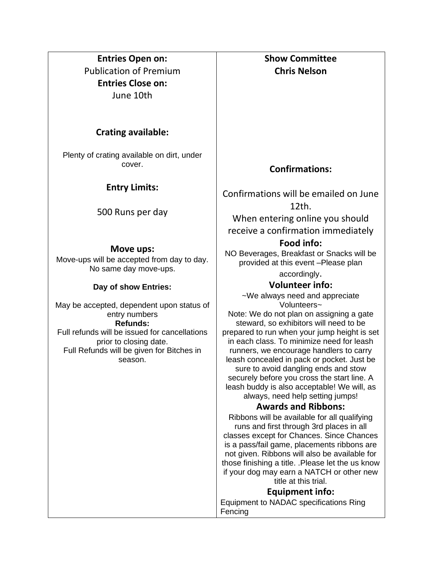**Entries Open on:** Publication of Premium **Entries Close on:** June 10th

### **Crating available:**

Plenty of crating available on dirt, under cover.

### **Entry Limits:**

500 Runs per day

### **Move ups:**

Move-ups will be accepted from day to day. No same day move-ups.

### **Day of show Entries:**

May be accepted, dependent upon status of entry numbers **Refunds:** Full refunds will be issued for cancellations prior to closing date.

Full Refunds will be given for Bitches in season.

**Show Committee Chris Nelson**

## **Confirmations:**

Confirmations will be emailed on June 12th.

When entering online you should receive a confirmation immediately

### **Food info:**

NO Beverages, Breakfast or Snacks will be provided at this event –Please plan accordingly.

### **Volunteer info:**

~We always need and appreciate Volunteers~

Note: We do not plan on assigning a gate steward, so exhibitors will need to be prepared to run when your jump height is set in each class. To minimize need for leash runners, we encourage handlers to carry leash concealed in pack or pocket. Just be sure to avoid dangling ends and stow securely before you cross the start line. A leash buddy is also acceptable! We will, as always, need help setting jumps!

### **Awards and Ribbons:**

Ribbons will be available for all qualifying runs and first through 3rd places in all classes except for Chances. Since Chances is a pass/fail game, placements ribbons are not given. Ribbons will also be available for those finishing a title. .Please let the us know if your dog may earn a NATCH or other new title at this trial.

### **Equipment info:**

Equipment to NADAC specifications Ring **Fencing**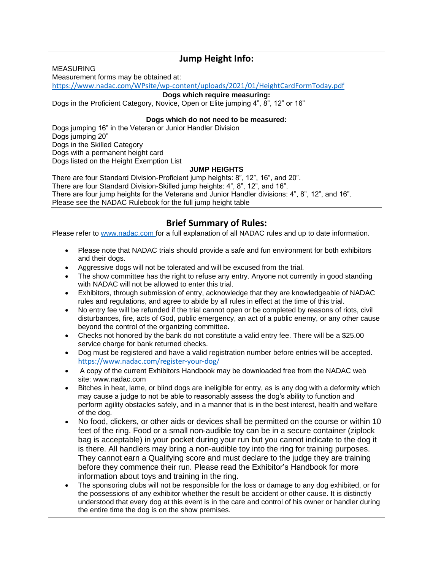MEASURING

### **Jump Height Info:**

Measurement forms may be obtained at:

<https://www.nadac.com/WPsite/wp-content/uploads/2021/01/HeightCardFormToday.pdf>

#### **Dogs which require measuring:**

Dogs in the Proficient Category, Novice, Open or Elite jumping 4", 8", 12" or 16"

#### **Dogs which do not need to be measured:**

Dogs jumping 16" in the Veteran or Junior Handler Division Dogs jumping 20" Dogs in the Skilled Category Dogs with a permanent height card Dogs listed on the Height Exemption List

#### **JUMP HEIGHTS**

There are four Standard Division-Proficient jump heights: 8", 12", 16", and 20". There are four Standard Division-Skilled jump heights: 4", 8", 12", and 16". There are four jump heights for the Veterans and Junior Handler divisions: 4", 8", 12", and 16". Please see the NADAC Rulebook for the full jump height table

### **Brief Summary of Rules:**

Please refer to [www.nadac.com](http://www.nadac.com/) for a full explanation of all NADAC rules and up to date information.

- Please note that NADAC trials should provide a safe and fun environment for both exhibitors and their dogs.
- Aggressive dogs will not be tolerated and will be excused from the trial.
- The show committee has the right to refuse any entry. Anyone not currently in good standing with NADAC will not be allowed to enter this trial.
- Exhibitors, through submission of entry, acknowledge that they are knowledgeable of NADAC rules and regulations, and agree to abide by all rules in effect at the time of this trial.
- No entry fee will be refunded if the trial cannot open or be completed by reasons of riots, civil disturbances, fire, acts of God, public emergency, an act of a public enemy, or any other cause beyond the control of the organizing committee.
- Checks not honored by the bank do not constitute a valid entry fee. There will be a \$25.00 service charge for bank returned checks.
- Dog must be registered and have a valid registration number before entries will be accepted. <https://www.nadac.com/register-your-dog/>
- A copy of the current Exhibitors Handbook may be downloaded free from the NADAC web site: www.nadac.com
- Bitches in heat, lame, or blind dogs are ineligible for entry, as is any dog with a deformity which may cause a judge to not be able to reasonably assess the dog's ability to function and perform agility obstacles safely, and in a manner that is in the best interest, health and welfare of the dog.
- No food, clickers, or other aids or devices shall be permitted on the course or within 10 feet of the ring. Food or a small non-audible toy can be in a secure container (ziplock bag is acceptable) in your pocket during your run but you cannot indicate to the dog it is there. All handlers may bring a non-audible toy into the ring for training purposes. They cannot earn a Qualifying score and must declare to the judge they are training before they commence their run. Please read the Exhibitor's Handbook for more information about toys and training in the ring.
- The sponsoring clubs will not be responsible for the loss or damage to any dog exhibited, or for the possessions of any exhibitor whether the result be accident or other cause. It is distinctly understood that every dog at this event is in the care and control of his owner or handler during the entire time the dog is on the show premises.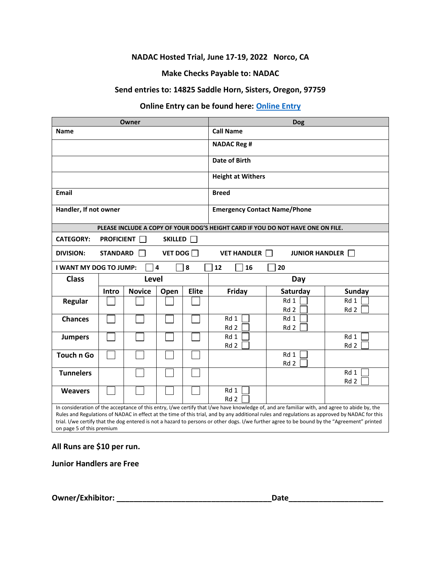#### **NADAC Hosted Trial, June 17-19, 2022 Norco, CA**

#### **Make Checks Payable to: NADAC**

#### **Send entries to: 14825 Saddle Horn, Sisters, Oregon, 97759**

### **Online Entry can be found here: [Online Entry](https://www.nadac.com/nadac-hosted/)**

| Owner                  |                                                                                 | <b>Dog</b>    |                                     |                  |                         |                                                                                 |                         |
|------------------------|---------------------------------------------------------------------------------|---------------|-------------------------------------|------------------|-------------------------|---------------------------------------------------------------------------------|-------------------------|
| <b>Name</b>            |                                                                                 |               |                                     | <b>Call Name</b> |                         |                                                                                 |                         |
|                        |                                                                                 |               | <b>NADAC Reg #</b>                  |                  |                         |                                                                                 |                         |
|                        |                                                                                 | Date of Birth |                                     |                  |                         |                                                                                 |                         |
|                        |                                                                                 |               | <b>Height at Withers</b>            |                  |                         |                                                                                 |                         |
| Email                  |                                                                                 |               | <b>Breed</b>                        |                  |                         |                                                                                 |                         |
| Handler, If not owner  |                                                                                 |               | <b>Emergency Contact Name/Phone</b> |                  |                         |                                                                                 |                         |
|                        |                                                                                 |               |                                     |                  |                         | PLEASE INCLUDE A COPY OF YOUR DOG'S HEIGHT CARD IF YOU DO NOT HAVE ONE ON FILE. |                         |
| <b>CATEGORY:</b>       | <b>PROFICIENT</b>                                                               |               | <b>SKILLED</b>                      |                  |                         |                                                                                 |                         |
| <b>DIVISION:</b>       | <b>STANDARD</b><br>VET DOG<br><b>VET HANDLER</b>  <br><b>JUNIOR HANDLER    </b> |               |                                     |                  |                         |                                                                                 |                         |
| I WANT MY DOG TO JUMP: |                                                                                 |               | $\overline{\mathbf{4}}$             | 8                | 12<br>16                | 20                                                                              |                         |
| <b>Class</b>           |                                                                                 | Level         |                                     |                  | Day                     |                                                                                 |                         |
|                        | Intro                                                                           | <b>Novice</b> | Open                                | <b>Elite</b>     | Friday                  | Saturday                                                                        | <b>Sunday</b>           |
| <b>Regular</b>         |                                                                                 |               |                                     |                  |                         | Rd 1<br>Rd 2                                                                    | Rd 1<br>Rd 2            |
| <b>Chances</b>         |                                                                                 |               |                                     |                  |                         |                                                                                 |                         |
|                        |                                                                                 |               |                                     |                  | Rd 1<br>Rd <sub>2</sub> | Rd 1<br>Rd <sub>2</sub>                                                         |                         |
| <b>Jumpers</b>         |                                                                                 |               |                                     |                  | Rd 1<br>Rd <sub>2</sub> |                                                                                 | Rd 1<br>Rd <sub>2</sub> |
| <b>Touch n Go</b>      |                                                                                 |               |                                     |                  |                         | Rd 1<br>Rd <sub>2</sub>                                                         |                         |
| <b>Tunnelers</b>       |                                                                                 |               |                                     |                  |                         |                                                                                 | Rd 1<br>Rd <sub>2</sub> |
| <b>Weavers</b>         |                                                                                 |               |                                     |                  | Rd 1<br>Rd 2            |                                                                                 |                         |

#### **All Runs are \$10 per run.**

**Junior Handlers are Free**

**Owner/Exhibitor: \_\_\_\_\_\_\_\_\_\_\_\_\_\_\_\_\_\_\_\_\_\_\_\_\_\_\_\_\_\_\_\_\_\_\_\_Date\_\_\_\_\_\_\_\_\_\_\_\_\_\_\_\_\_\_\_\_\_\_**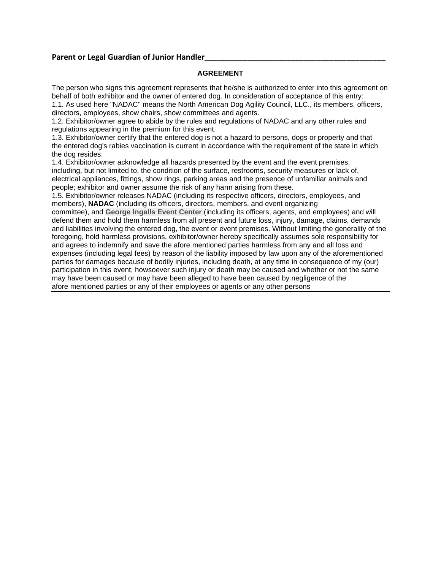#### Parent or Legal Guardian of Junior Handler

#### **AGREEMENT**

The person who signs this agreement represents that he/she is authorized to enter into this agreement on behalf of both exhibitor and the owner of entered dog. In consideration of acceptance of this entry: 1.1. As used here "NADAC" means the North American Dog Agility Council, LLC., its members, officers, directors, employees, show chairs, show committees and agents.

1.2. Exhibitor/owner agree to abide by the rules and regulations of NADAC and any other rules and regulations appearing in the premium for this event.

1.3. Exhibitor/owner certify that the entered dog is not a hazard to persons, dogs or property and that the entered dog's rabies vaccination is current in accordance with the requirement of the state in which the dog resides.

1.4. Exhibitor/owner acknowledge all hazards presented by the event and the event premises, including, but not limited to, the condition of the surface, restrooms, security measures or lack of, electrical appliances, fittings, show rings, parking areas and the presence of unfamiliar animals and people; exhibitor and owner assume the risk of any harm arising from these.

1.5. Exhibitor/owner releases NADAC (including its respective officers, directors, employees, and members), **NADAC** (including its officers, directors, members, and event organizing

committee), and **George Ingalls Event Center** (including its officers, agents, and employees) and will defend them and hold them harmless from all present and future loss, injury, damage, claims, demands and liabilities involving the entered dog, the event or event premises. Without limiting the generality of the foregoing, hold harmless provisions, exhibitor/owner hereby specifically assumes sole responsibility for and agrees to indemnify and save the afore mentioned parties harmless from any and all loss and expenses (including legal fees) by reason of the liability imposed by law upon any of the aforementioned parties for damages because of bodily injuries, including death, at any time in consequence of my (our) participation in this event, howsoever such injury or death may be caused and whether or not the same may have been caused or may have been alleged to have been caused by negligence of the afore mentioned parties or any of their employees or agents or any other persons